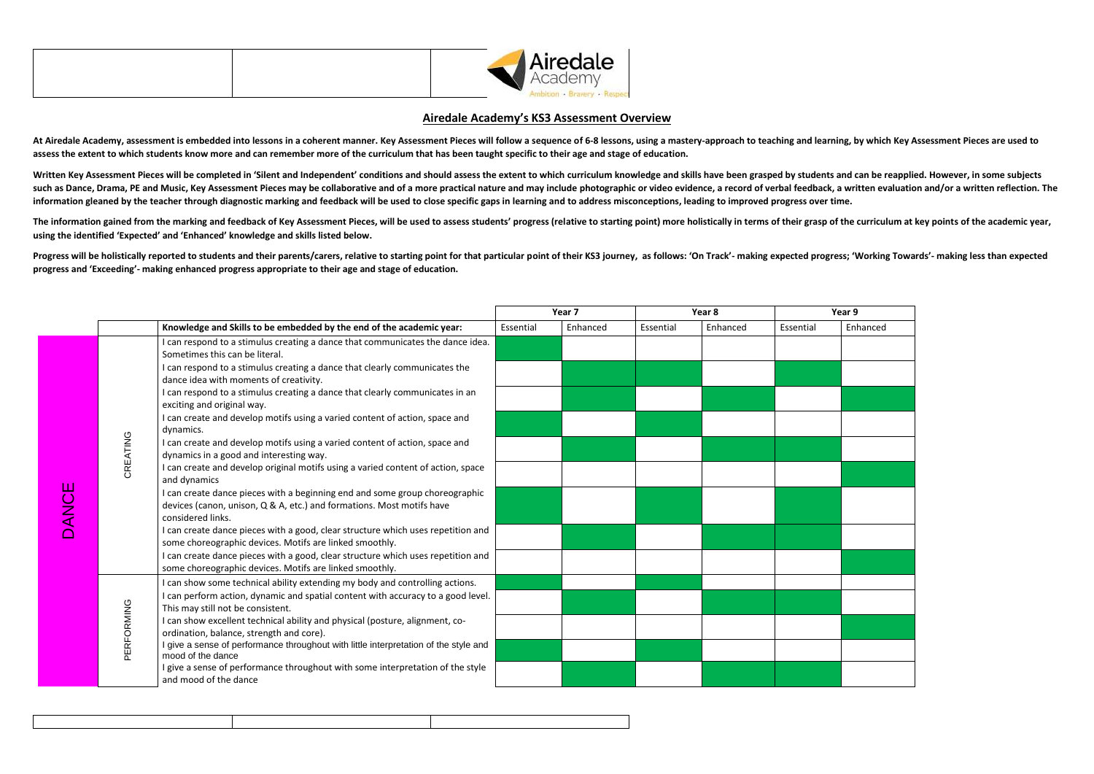| Airedale<br>Academy |
|---------------------|
|                     |

## **Airedale Academy's KS3 Assessment Overview**

At Airedale Academy, assessment is embedded into lessons in a coherent manner. Key Assessment Pieces will follow a sequence of 6-8 lessons, using a mastery-approach to teaching and learning, by which Key Assessment Pieces **assess the extent to which students know more and can remember more of the curriculum that has been taught specific to their age and stage of education.** 

Written Key Assessment Pieces will be completed in 'Silent and Independent' conditions and should assess the extent to which curriculum knowledge and skills have been grasped by students and can be reapplied. However, in s such as Dance, Drama, PE and Music, Key Assessment Pieces may be collaborative and of a more practical nature and may include photographic or video evidence, a record of verbal feedback, a written evaluation and/or a writt **information gleaned by the teacher through diagnostic marking and feedback will be used to close specific gaps in learning and to address misconceptions, leading to improved progress over time.**

The information gained from the marking and feedback of Key Assessment Pieces, will be used to assess students' progress (relative to starting point) more holistically in terms of their grasp of the curriculum at key point **using the identified 'Expected' and 'Enhanced' knowledge and skills listed below.** 

Progress will be holistically reported to students and their parents/carers, relative to starting point for that particular point of their KS3 journey, as follows: 'On Track'- making expected progress; 'Working Towards'- m **progress and 'Exceeding'- making enhanced progress appropriate to their age and stage of education.**

| Year 9   |
|----------|
| Enhanced |
|          |
|          |
|          |
|          |
|          |
|          |
|          |
|          |
|          |
|          |
|          |
|          |
|          |
|          |
|          |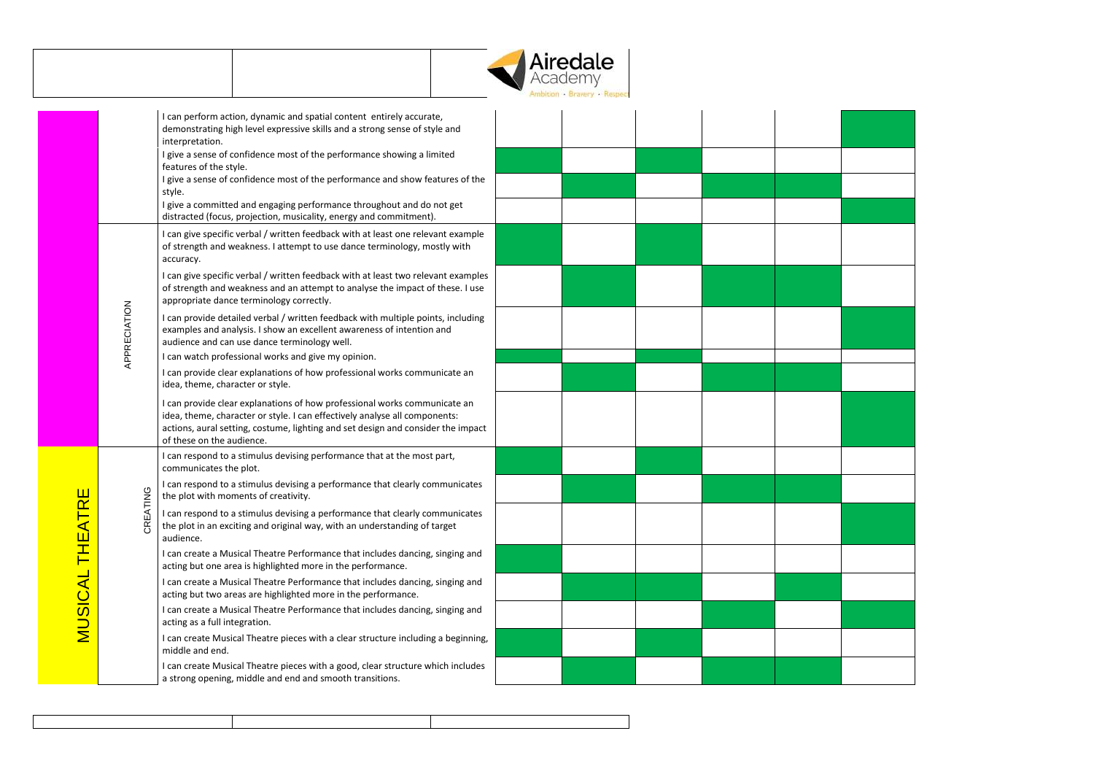|                 |              |                                                                                                                                                                                                                                                                          | <b>Airedale</b><br>Academy |  |
|-----------------|--------------|--------------------------------------------------------------------------------------------------------------------------------------------------------------------------------------------------------------------------------------------------------------------------|----------------------------|--|
|                 |              | I can perform action, dynamic and spatial content entirely accurate,<br>demonstrating high level expressive skills and a strong sense of style and<br>interpretation.                                                                                                    |                            |  |
|                 |              | I give a sense of confidence most of the performance showing a limited<br>features of the style.                                                                                                                                                                         |                            |  |
|                 |              | I give a sense of confidence most of the performance and show features of the<br>style.                                                                                                                                                                                  |                            |  |
|                 |              | I give a committed and engaging performance throughout and do not get<br>distracted (focus, projection, musicality, energy and commitment).                                                                                                                              |                            |  |
|                 |              | I can give specific verbal / written feedback with at least one relevant example<br>of strength and weakness. I attempt to use dance terminology, mostly with<br>accuracy.                                                                                               |                            |  |
|                 |              | I can give specific verbal / written feedback with at least two relevant examples<br>of strength and weakness and an attempt to analyse the impact of these. I use<br>appropriate dance terminology correctly.                                                           |                            |  |
|                 | APPRECIATION | I can provide detailed verbal / written feedback with multiple points, including<br>examples and analysis. I show an excellent awareness of intention and<br>audience and can use dance terminology well.                                                                |                            |  |
|                 |              | I can watch professional works and give my opinion.                                                                                                                                                                                                                      |                            |  |
|                 |              | I can provide clear explanations of how professional works communicate an<br>idea, theme, character or style.                                                                                                                                                            |                            |  |
|                 |              | I can provide clear explanations of how professional works communicate an<br>idea, theme, character or style. I can effectively analyse all components:<br>actions, aural setting, costume, lighting and set design and consider the impact<br>of these on the audience. |                            |  |
|                 |              | I can respond to a stimulus devising performance that at the most part,<br>communicates the plot.                                                                                                                                                                        |                            |  |
|                 |              | I can respond to a stimulus devising a performance that clearly communicates<br>the plot with moments of creativity.                                                                                                                                                     |                            |  |
| MUSICAL THEATRE | CREATING     | I can respond to a stimulus devising a performance that clearly communicates<br>the plot in an exciting and original way, with an understanding of target<br>audience.                                                                                                   |                            |  |
|                 |              | I can create a Musical Theatre Performance that includes dancing, singing and<br>acting but one area is highlighted more in the performance.                                                                                                                             |                            |  |
|                 |              | I can create a Musical Theatre Performance that includes dancing, singing and<br>acting but two areas are highlighted more in the performance.                                                                                                                           |                            |  |
|                 |              | I can create a Musical Theatre Performance that includes dancing, singing and<br>acting as a full integration.                                                                                                                                                           |                            |  |
|                 |              | I can create Musical Theatre pieces with a clear structure including a beginning,<br>middle and end.                                                                                                                                                                     |                            |  |
|                 |              | I can create Musical Theatre pieces with a good, clear structure which includes<br>a strong opening, middle and end and smooth transitions.                                                                                                                              |                            |  |

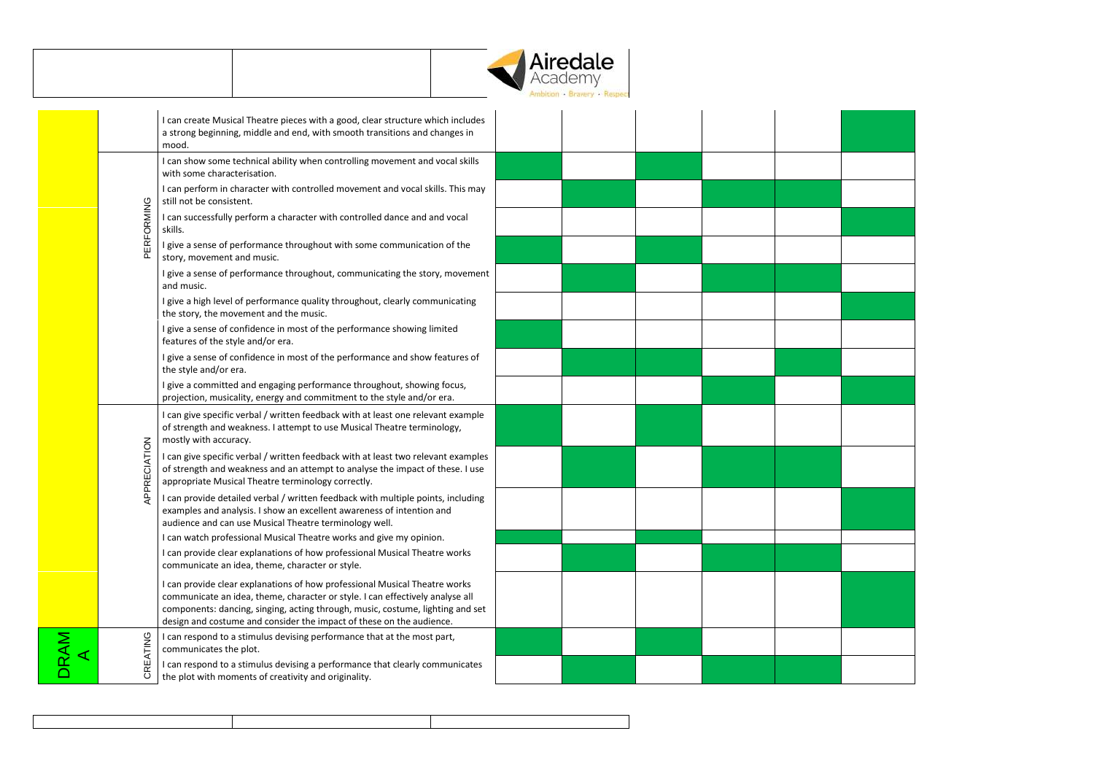

| I can create Musical Theatre pieces with a good, clear structure which includes<br>a strong beginning, middle and end, with smooth transitions and changes in<br>mood.<br>I can show some technical ability when controlling movement and vocal skills<br>with some characterisation.<br>I can perform in character with controlled movement and vocal skills. This may<br>still not be consistent.<br>PERFORMING<br>I can successfully perform a character with controlled dance and and vocal<br>skills.<br>I give a sense of performance throughout with some communication of the<br>story, movement and music.<br>I give a sense of performance throughout, communicating the story, movement<br>and music.<br>I give a high level of performance quality throughout, clearly communicating<br>the story, the movement and the music.<br>I give a sense of confidence in most of the performance showing limited<br>features of the style and/or era.<br>I give a sense of confidence in most of the performance and show features of<br>the style and/or era.<br>I give a committed and engaging performance throughout, showing focus,<br>projection, musicality, energy and commitment to the style and/or era.<br>I can give specific verbal / written feedback with at least one relevant example<br>of strength and weakness. I attempt to use Musical Theatre terminology,<br>mostly with accuracy.<br>APPRECIATION<br>I can give specific verbal / written feedback with at least two relevant examples<br>of strength and weakness and an attempt to analyse the impact of these. I use<br>appropriate Musical Theatre terminology correctly.<br>I can provide detailed verbal / written feedback with multiple points, including<br>examples and analysis. I show an excellent awareness of intention and<br>audience and can use Musical Theatre terminology well.<br>I can watch professional Musical Theatre works and give my opinion.<br>I can provide clear explanations of how professional Musical Theatre works<br>communicate an idea, theme, character or style.<br>I can provide clear explanations of how professional Musical Theatre works<br>communicate an idea, theme, character or style. I can effectively analyse all<br>components: dancing, singing, acting through, music, costume, lighting and set<br>design and costume and consider the impact of these on the audience.<br>can respond to a stimulus devising performance that at the most part, |     |                        |  |  |  |
|----------------------------------------------------------------------------------------------------------------------------------------------------------------------------------------------------------------------------------------------------------------------------------------------------------------------------------------------------------------------------------------------------------------------------------------------------------------------------------------------------------------------------------------------------------------------------------------------------------------------------------------------------------------------------------------------------------------------------------------------------------------------------------------------------------------------------------------------------------------------------------------------------------------------------------------------------------------------------------------------------------------------------------------------------------------------------------------------------------------------------------------------------------------------------------------------------------------------------------------------------------------------------------------------------------------------------------------------------------------------------------------------------------------------------------------------------------------------------------------------------------------------------------------------------------------------------------------------------------------------------------------------------------------------------------------------------------------------------------------------------------------------------------------------------------------------------------------------------------------------------------------------------------------------------------------------------------------------------------------------------------------------------------------------------------------------------------------------------------------------------------------------------------------------------------------------------------------------------------------------------------------------------------------------------------------------------------------------------------------------------------------------------------------------------------------------------------------------------------------------|-----|------------------------|--|--|--|
|                                                                                                                                                                                                                                                                                                                                                                                                                                                                                                                                                                                                                                                                                                                                                                                                                                                                                                                                                                                                                                                                                                                                                                                                                                                                                                                                                                                                                                                                                                                                                                                                                                                                                                                                                                                                                                                                                                                                                                                                                                                                                                                                                                                                                                                                                                                                                                                                                                                                                              |     |                        |  |  |  |
|                                                                                                                                                                                                                                                                                                                                                                                                                                                                                                                                                                                                                                                                                                                                                                                                                                                                                                                                                                                                                                                                                                                                                                                                                                                                                                                                                                                                                                                                                                                                                                                                                                                                                                                                                                                                                                                                                                                                                                                                                                                                                                                                                                                                                                                                                                                                                                                                                                                                                              |     |                        |  |  |  |
|                                                                                                                                                                                                                                                                                                                                                                                                                                                                                                                                                                                                                                                                                                                                                                                                                                                                                                                                                                                                                                                                                                                                                                                                                                                                                                                                                                                                                                                                                                                                                                                                                                                                                                                                                                                                                                                                                                                                                                                                                                                                                                                                                                                                                                                                                                                                                                                                                                                                                              |     |                        |  |  |  |
|                                                                                                                                                                                                                                                                                                                                                                                                                                                                                                                                                                                                                                                                                                                                                                                                                                                                                                                                                                                                                                                                                                                                                                                                                                                                                                                                                                                                                                                                                                                                                                                                                                                                                                                                                                                                                                                                                                                                                                                                                                                                                                                                                                                                                                                                                                                                                                                                                                                                                              |     |                        |  |  |  |
|                                                                                                                                                                                                                                                                                                                                                                                                                                                                                                                                                                                                                                                                                                                                                                                                                                                                                                                                                                                                                                                                                                                                                                                                                                                                                                                                                                                                                                                                                                                                                                                                                                                                                                                                                                                                                                                                                                                                                                                                                                                                                                                                                                                                                                                                                                                                                                                                                                                                                              |     |                        |  |  |  |
|                                                                                                                                                                                                                                                                                                                                                                                                                                                                                                                                                                                                                                                                                                                                                                                                                                                                                                                                                                                                                                                                                                                                                                                                                                                                                                                                                                                                                                                                                                                                                                                                                                                                                                                                                                                                                                                                                                                                                                                                                                                                                                                                                                                                                                                                                                                                                                                                                                                                                              |     |                        |  |  |  |
|                                                                                                                                                                                                                                                                                                                                                                                                                                                                                                                                                                                                                                                                                                                                                                                                                                                                                                                                                                                                                                                                                                                                                                                                                                                                                                                                                                                                                                                                                                                                                                                                                                                                                                                                                                                                                                                                                                                                                                                                                                                                                                                                                                                                                                                                                                                                                                                                                                                                                              |     |                        |  |  |  |
|                                                                                                                                                                                                                                                                                                                                                                                                                                                                                                                                                                                                                                                                                                                                                                                                                                                                                                                                                                                                                                                                                                                                                                                                                                                                                                                                                                                                                                                                                                                                                                                                                                                                                                                                                                                                                                                                                                                                                                                                                                                                                                                                                                                                                                                                                                                                                                                                                                                                                              |     |                        |  |  |  |
|                                                                                                                                                                                                                                                                                                                                                                                                                                                                                                                                                                                                                                                                                                                                                                                                                                                                                                                                                                                                                                                                                                                                                                                                                                                                                                                                                                                                                                                                                                                                                                                                                                                                                                                                                                                                                                                                                                                                                                                                                                                                                                                                                                                                                                                                                                                                                                                                                                                                                              |     |                        |  |  |  |
|                                                                                                                                                                                                                                                                                                                                                                                                                                                                                                                                                                                                                                                                                                                                                                                                                                                                                                                                                                                                                                                                                                                                                                                                                                                                                                                                                                                                                                                                                                                                                                                                                                                                                                                                                                                                                                                                                                                                                                                                                                                                                                                                                                                                                                                                                                                                                                                                                                                                                              |     |                        |  |  |  |
|                                                                                                                                                                                                                                                                                                                                                                                                                                                                                                                                                                                                                                                                                                                                                                                                                                                                                                                                                                                                                                                                                                                                                                                                                                                                                                                                                                                                                                                                                                                                                                                                                                                                                                                                                                                                                                                                                                                                                                                                                                                                                                                                                                                                                                                                                                                                                                                                                                                                                              |     |                        |  |  |  |
|                                                                                                                                                                                                                                                                                                                                                                                                                                                                                                                                                                                                                                                                                                                                                                                                                                                                                                                                                                                                                                                                                                                                                                                                                                                                                                                                                                                                                                                                                                                                                                                                                                                                                                                                                                                                                                                                                                                                                                                                                                                                                                                                                                                                                                                                                                                                                                                                                                                                                              |     |                        |  |  |  |
|                                                                                                                                                                                                                                                                                                                                                                                                                                                                                                                                                                                                                                                                                                                                                                                                                                                                                                                                                                                                                                                                                                                                                                                                                                                                                                                                                                                                                                                                                                                                                                                                                                                                                                                                                                                                                                                                                                                                                                                                                                                                                                                                                                                                                                                                                                                                                                                                                                                                                              |     |                        |  |  |  |
|                                                                                                                                                                                                                                                                                                                                                                                                                                                                                                                                                                                                                                                                                                                                                                                                                                                                                                                                                                                                                                                                                                                                                                                                                                                                                                                                                                                                                                                                                                                                                                                                                                                                                                                                                                                                                                                                                                                                                                                                                                                                                                                                                                                                                                                                                                                                                                                                                                                                                              |     |                        |  |  |  |
|                                                                                                                                                                                                                                                                                                                                                                                                                                                                                                                                                                                                                                                                                                                                                                                                                                                                                                                                                                                                                                                                                                                                                                                                                                                                                                                                                                                                                                                                                                                                                                                                                                                                                                                                                                                                                                                                                                                                                                                                                                                                                                                                                                                                                                                                                                                                                                                                                                                                                              |     |                        |  |  |  |
|                                                                                                                                                                                                                                                                                                                                                                                                                                                                                                                                                                                                                                                                                                                                                                                                                                                                                                                                                                                                                                                                                                                                                                                                                                                                                                                                                                                                                                                                                                                                                                                                                                                                                                                                                                                                                                                                                                                                                                                                                                                                                                                                                                                                                                                                                                                                                                                                                                                                                              |     |                        |  |  |  |
|                                                                                                                                                                                                                                                                                                                                                                                                                                                                                                                                                                                                                                                                                                                                                                                                                                                                                                                                                                                                                                                                                                                                                                                                                                                                                                                                                                                                                                                                                                                                                                                                                                                                                                                                                                                                                                                                                                                                                                                                                                                                                                                                                                                                                                                                                                                                                                                                                                                                                              | RAM | communicates the plot. |  |  |  |
| CREATING<br>I can respond to a stimulus devising a performance that clearly communicates<br>the plot with moments of creativity and originality.                                                                                                                                                                                                                                                                                                                                                                                                                                                                                                                                                                                                                                                                                                                                                                                                                                                                                                                                                                                                                                                                                                                                                                                                                                                                                                                                                                                                                                                                                                                                                                                                                                                                                                                                                                                                                                                                                                                                                                                                                                                                                                                                                                                                                                                                                                                                             |     |                        |  |  |  |

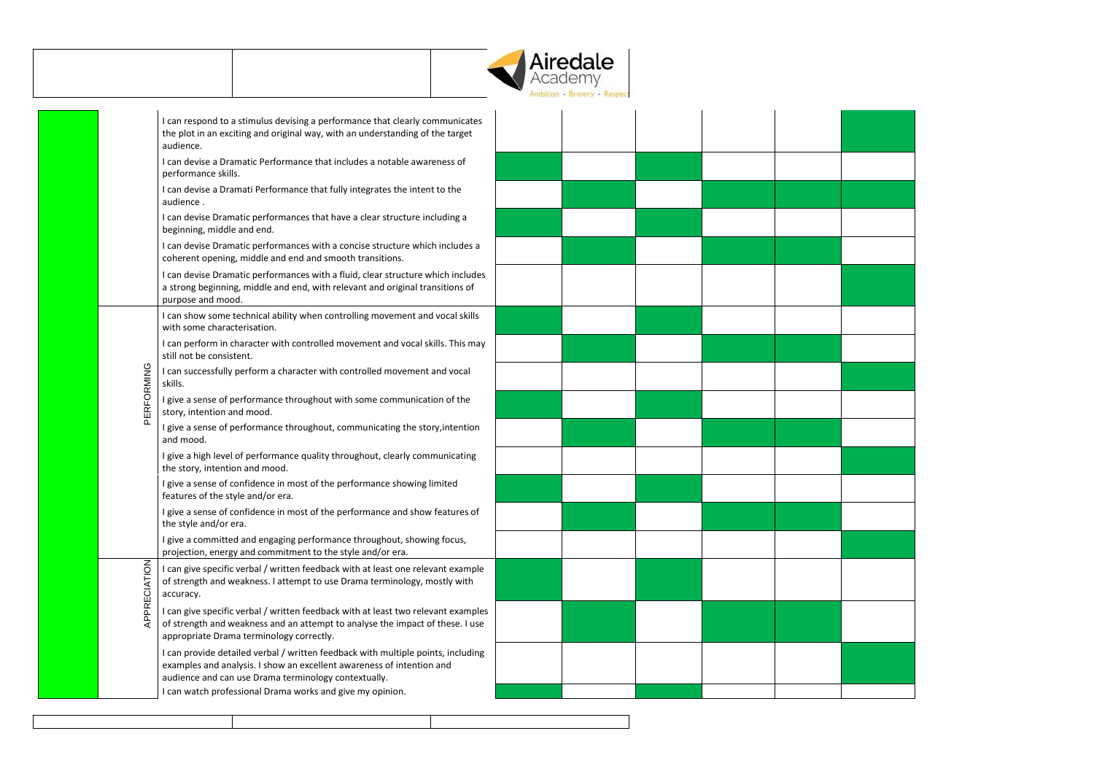

|              | I can respond to a stimulus devising a performance that clearly communicates<br>the plot in an exciting and original way, with an understanding of the target<br>audience.                                        |
|--------------|-------------------------------------------------------------------------------------------------------------------------------------------------------------------------------------------------------------------|
|              | I can devise a Dramatic Performance that includes a notable awareness of<br>performance skills.                                                                                                                   |
|              | I can devise a Dramati Performance that fully integrates the intent to the<br>audience.                                                                                                                           |
|              | I can devise Dramatic performances that have a clear structure including a<br>beginning, middle and end.                                                                                                          |
|              | I can devise Dramatic performances with a concise structure which includes a<br>coherent opening, middle and end and smooth transitions.                                                                          |
|              | I can devise Dramatic performances with a fluid, clear structure which includes<br>a strong beginning, middle and end, with relevant and original transitions of<br>purpose and mood.                             |
|              | I can show some technical ability when controlling movement and vocal skills<br>with some characterisation.                                                                                                       |
|              | I can perform in character with controlled movement and vocal skills. This may<br>still not be consistent.                                                                                                        |
| PERFORMING   | I can successfully perform a character with controlled movement and vocal<br>skills.                                                                                                                              |
|              | I give a sense of performance throughout with some communication of the<br>story, intention and mood.                                                                                                             |
|              | I give a sense of performance throughout, communicating the story, intention<br>and mood.                                                                                                                         |
|              | I give a high level of performance quality throughout, clearly communicating<br>the story, intention and mood.                                                                                                    |
|              | I give a sense of confidence in most of the performance showing limited<br>features of the style and/or era.                                                                                                      |
|              | I give a sense of confidence in most of the performance and show features of<br>the style and/or era.                                                                                                             |
|              | I give a committed and engaging performance throughout, showing focus,<br>projection, energy and commitment to the style and/or era.                                                                              |
| APPRECIATION | I can give specific verbal / written feedback with at least one relevant example<br>of strength and weakness. I attempt to use Drama terminology, mostly with<br>accuracy.                                        |
|              | I can give specific verbal / written feedback with at least two relevant examples<br>of strength and weakness and an attempt to analyse the impact of these. I use<br>appropriate Drama terminology correctly.    |
|              | I can provide detailed verbal / written feedback with multiple points, including<br>examples and analysis. I show an excellent awareness of intention and<br>audience and can use Drama terminology contextually. |
|              | I can watch professional Drama works and give my opinion.                                                                                                                                                         |